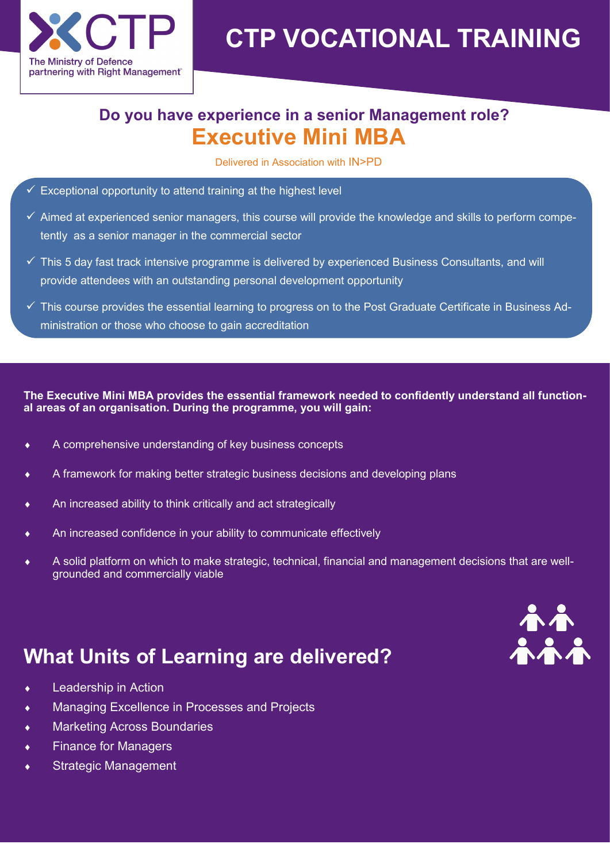

# **CTP VOCATIONAL TRAINING**

### **Executive Mini MBA Do you have experience in a senior Management role?**

Delivered in Association with IN>PD

- $\checkmark$  Exceptional opportunity to attend training at the highest level
- $\checkmark$  Aimed at experienced senior managers, this course will provide the knowledge and skills to perform competently as a senior manager in the commercial sector
- $\checkmark$  This 5 day fast track intensive programme is delivered by experienced Business Consultants, and will provide attendees with an outstanding personal development opportunity
- $\checkmark$  This course provides the essential learning to progress on to the Post Graduate Certificate in Business Administration or those who choose to gain accreditation

**The Executive Mini MBA provides the essential framework needed to confidently understand all functional areas of an organisation. During the programme, you will gain:**

- A comprehensive understanding of key business concepts
- A framework for making better strategic business decisions and developing plans
- An increased ability to think critically and act strategically
- An increased confidence in your ability to communicate effectively
- A solid platform on which to make strategic, technical, financial and management decisions that are wellgrounded and commercially viable

# **What Units of Learning are delivered?**

- Leadership in Action
- Managing Excellence in Processes and Projects
- Marketing Across Boundaries
- Finance for Managers
- Strategic Management